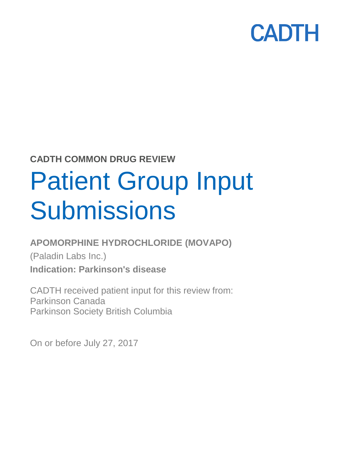

### **CADTH COMMON DRUG REVIEW**

# Patient Group Input **Submissions**

### **APOMORPHINE HYDROCHLORIDE (MOVAPO)**

(Paladin Labs Inc.) **Indication: Parkinson's disease**

CADTH received patient input for this review from: Parkinson Canada Parkinson Society British Columbia

On or before July 27, 2017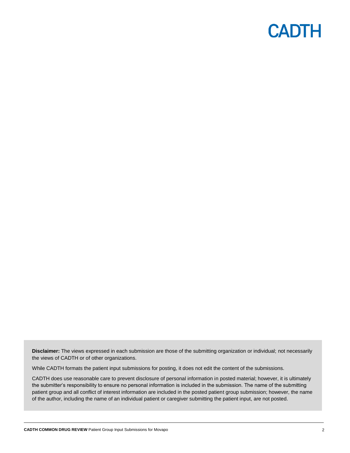**Disclaimer:** The views expressed in each submission are those of the submitting organization or individual; not necessarily the views of CADTH or of other organizations.

While CADTH formats the patient input submissions for posting, it does not edit the content of the submissions.

CADTH does use reasonable care to prevent disclosure of personal information in posted material; however, it is ultimately the submitter's responsibility to ensure no personal information is included in the submission. The name of the submitting patient group and all conflict of interest information are included in the posted patient group submission; however, the name of the author, including the name of an individual patient or caregiver submitting the patient input, are not posted.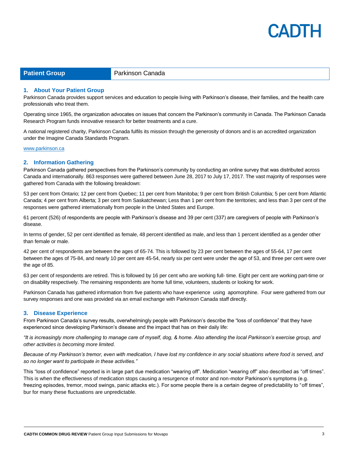

**Patient Group Parkinson Canada** 

#### **1. About Your Patient Group**

Parkinson Canada provide[s support services](http://www.parkinson.ca/site/c.kgLNIWODKpF/b.3536057/k.2ACB/Contact_Us.htm) and education to people living with Parkinson's disease, their families, and the health care professionals who treat them.

Operating since 1965, the organization advocates on issues that concern the Parkinson's community in Canada. The Parkinson Canada [Research Program](http://www.parkinson.ca/site/c.kgLNIWODKpF/b.9196527/k.60A6/Research__Clinical_Trials.htm) funds innovative research for better treatments and a cure.

A national registered charity, Parkinson Canada fulfils its mission through the [generosity of](https://secure2.convio.net/psc/site/Donation2?3040.donation=form1&df_id=3040) [donors](https://secure2.convio.net/psc/site/Donation2?3040.donation=form1&df_id=3040) and is an accredited organization under th[e Imagine Canada Standards Program.](http://www.parkinson.ca/site/c.kgLNIWODKpF/b.5184129/k.2CBF/Donate_Now.htm)

#### [www.parkinson.ca](http://www.parkinson.ca/)

#### **2. Information Gathering**

Parkinson Canada gathered perspectives from the Parkinson's community by conducting an online survey that was distributed across Canada and internationally. 863 responses were gathered between June 28, 2017 to July 17, 2017. The vast majority of responses were gathered from Canada with the following breakdown:

53 per cent from Ontario; 12 per cent from Quebec; 11 per cent from Manitoba; 9 per cent from British Columbia; 5 per cent from Atlantic Canada; 4 per cent from Alberta; 3 per cent from Saskatchewan; Less than 1 per cent from the territories; and less than 3 per cent of the responses were gathered internationally from people in the United States and Europe.

61 percent (526) of respondents are people with Parkinson's disease and 39 per cent (337) are caregivers of people with Parkinson's disease.

In terms of gender, 52 per cent identified as female, 48 percent identified as male, and less than 1 percent identified as a gender other than female or male.

42 per cent of respondents are between the ages of 65-74. This is followed by 23 per cent between the ages of 55-64, 17 per cent between the ages of 75-84, and nearly 10 per cent are 45-54, nearly six per cent were under the age of 53, and three per cent were over the age of 85.

63 per cent of respondents are retired. This is followed by 16 per cent who are working full- time. Eight per cent are working part-time or on disability respectively. The remaining respondents are home full time, volunteers, students or looking for work.

Parkinson Canada has gathered information from five patients who have experience using apomorphine. Four were gathered from our survey responses and one was provided via an email exchange with Parkinson Canada staff directly.

#### **3. Disease Experience**

From Parkinson Canada's survey results, overwhelmingly people with Parkinson's describe the "loss of confidence" that they have experienced since developing Parkinson's disease and the impact that has on their daily life:

*"It is increasingly more challenging to manage care of myself, dog, & home. Also attending the local Parkinson's exercise group, and other activities is becoming more limited.*

*Because of my Parkinson's tremor, even with medication, I have lost my confidence in any social situations where food is served, and so no longer want to participate in these activities."*

This "loss of confidence" reported is in large part due medication "wearing off". Medication "wearing off" also described as "off times". This is when the effectiveness of medication stops causing a resurgence of motor and non-motor Parkinson's symptoms (e.g. freezing episodes, tremor, mood swings, panic attacks etc.). For some people there is a certain degree of predictability to "off times", bur for many these fluctuations are unpredictable.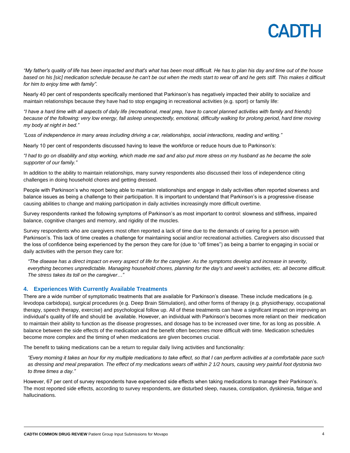

*"My father's quality of life has been impacted and that's what has been most difficult. He has to plan his day and time out of the house based on his [sic] medication schedule because he can't be out when the meds start to wear off and he gets stiff. This makes it difficult for him to enjoy time with family".*

Nearly 40 per cent of respondents specifically mentioned that Parkinson's has negatively impacted their ability to socialize and maintain relationships because they have had to stop engaging in recreational activities (e.g. sport) or family life:

*"I have a hard time with all aspects of daily life (recreational, meal prep, have to cancel planned activities with family and friends) because of the following: very low energy, fall asleep unexpectedly, emotional, difficulty walking for prolong period, hard time moving my body at night in bed."*

*"Loss of independence in many areas including driving a car, relationships, social interactions, reading and writing."*

Nearly 10 per cent of respondents discussed having to leave the workforce or reduce hours due to Parkinson's:

*"I had to go on disability and stop working, which made me sad and also put more stress on my husband as he became the sole supporter of our family."*

In addition to the ability to maintain relationships, many survey respondents also discussed their loss of independence citing challenges in doing household chores and getting dressed.

People with Parkinson's who report being able to maintain relationships and engage in daily activities often reported slowness and balance issues as being a challenge to their participation. It is important to understand that Parkinson's is a progressive disease causing abilities to change and making participation in daily activities increasingly more difficult overtime.

Survey respondents ranked the following symptoms of Parkinson's as most important to control: slowness and stiffness, impaired balance, cognitive changes and memory, and rigidity of the muscles.

Survey respondents who are caregivers most often reported a lack of time due to the demands of caring for a person with Parkinson's. This lack of time creates a challenge for maintaining social and/or recreational activities. Caregivers also discussed that the loss of confidence being experienced by the person they care for (due to "off times") as being a barrier to engaging in social or daily activities with the person they care for:

*"The disease has a direct impact on every aspect of life for the caregiver. As the symptoms develop and increase in severity, everything becomes unpredictable. Managing household chores, planning for the day's and week's activities, etc. all become difficult. The stress takes its toll on the caregiver…"*

#### **4. Experiences With Currently Available Treatments**

There are a wide number of symptomatic treatments that are available for Parkinson's disease. These include medications (e.g. levodopa carbidopa), surgical procedures (e.g. Deep Brain Stimulation), and other forms of therapy (e.g. physiotherapy, occupational therapy, speech therapy, exercise) and psychological follow up. All of these treatments can have a significant impact on improving an individual's quality of life and should be available. However, an individual with Parkinson's becomes more reliant on their medication to maintain their ability to function as the disease progresses, and dosage has to be increased over time, for as long as possible. A balance between the side effects of the medication and the benefit often becomes more difficult with time. Medication schedules become more complex and the timing of when medications are given becomes crucial.

The benefit to taking medications can be a return to regular daily living activities and functionality:

*"Every morning it takes an hour for my multiple medications to take effect, so that I can perform activities at a comfortable pace such as dressing and meal preparation. The effect of my medications wears off within 2 1/2 hours, causing very painful foot dystonia two to three times a day."*

However, 67 per cent of survey respondents have experienced side effects when taking medications to manage their Parkinson's. The most reported side effects, according to survey respondents, are disturbed sleep, nausea, constipation, dyskinesia, fatigue and hallucinations.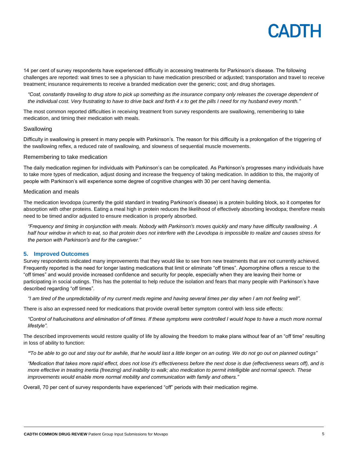

14 per cent of survey respondents have experienced difficulty in accessing treatments for Parkinson's disease. The following challenges are reported: wait times to see a physician to have medication prescribed or adjusted; transportation and travel to receive treatment; insurance requirements to receive a branded medication over the generic; cost; and drug shortages.

*"Cost, constantly traveling to drug store to pick up something as the insurance company only releases the coverage dependent of the individual cost. Very frustrating to have to drive back and forth 4 x to get the pills I need for my husband every month."*

The most common reported difficulties in receiving treatment from survey respondents are swallowing, remembering to take medication, and timing their medication with meals.

#### Swallowing

Difficulty in swallowing is present in many people with Parkinson's. The reason for this difficulty is a prolongation of the triggering of the swallowing reflex, a reduced rate of swallowing, and slowness of sequential muscle movements.

#### Remembering to take medication

The daily medication regimen for individuals with Parkinson's can be complicated. As Parkinson's progresses many individuals have to take more types of medication, adjust dosing and increase the frequency of taking medication. In addition to this, the majority of people with Parkinson's will experience some degree of cognitive changes with 30 per cent having dementia.

#### Medication and meals

The medication [levodopa](https://www.michaeljfox.org/glossary.php#levodopa) (currently the gold standard in treating Parkinson's disease) is a protein building block, so it competes for absorption with other proteins. Eating a meal high in protein reduces the likelihood of effectively absorbing levodopa; therefore meals need to be timed and/or adjusted to ensure medication is properly absorbed.

*"Frequency and timing in conjunction with meals. Nobody with Parkinson's moves quickly and many have difficulty swallowing . A half hour window in which to eat, so that protein does not interfere with the Levodopa is impossible to realize and causes stress for the person with Parkinson's and for the caregiver."*

#### **5. Improved Outcomes**

Survey respondents indicated many improvements that they would like to see from new treatments that are not currently achieved. Frequently reported is the need for longer lasting medications that limit or eliminate "off times". Apomorphine offers a rescue to the "off times" and would provide increased confidence and security for people, especially when they are leaving their home or participating in social outings. This has the potential to help reduce the isolation and fears that many people with Parkinson's have described regarding "off times".

*"I am tired of the unpredictability of my current meds regime and having several times per day when I am not feeling well".*

There is also an expressed need for medications that provide overall better symptom control with less side effects:

*"Control of hallucinations and elimination of off times. If these symptoms were controlled I would hope to have a much more normal lifestyle".*

The described improvements would restore quality of life by allowing the freedom to make plans without fear of an "off time" resulting in loss of ability to function:

*"To be able to go out and stay out for awhile, that he would last a little longer on an outing. We do not go out on planned outings"*

*"Medication that takes more rapid effect, does not lose it's effectiveness before the next dose is due (effectiveness wears off), and is more effective in treating inertia (freezing) and inability to walk; also medication to permit intelligible and normal speech. These improvements would enable more normal mobility and communication with family and others."*

Overall, 70 per cent of survey respondents have experienced "off" periods with their medication regime.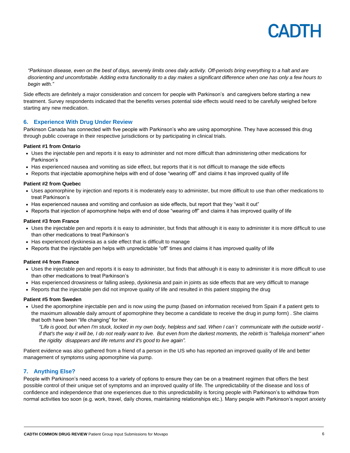

*"Parkinson disease, even on the best of days, severely limits ones daily activity. Off-periods bring everything to a halt and are disorienting and uncomfortable. Adding extra functionality to a day makes a significant difference when one has only a few hours to begin with."*

Side effects are definitely a major consideration and concern for people with Parkinson's and caregivers before starting a new treatment. Survey respondents indicated that the benefits verses potential side effects would need to be carefully weighed before starting any new medication.

#### **6. Experience With Drug Under Review**

Parkinson Canada has connected with five people with Parkinson's who are using apomorphine. They have accessed this drug through public coverage in their respective jurisdictions or by participating in clinical trials.

#### **Patient #1 from Ontario**

- Uses the injectable pen and reports it is easy to administer and not more difficult than administering other medications for Parkinson's
- Has experienced nausea and vomiting as side effect, but reports that it is not difficult to manage the side effects
- Reports that injectable apomorphine helps with end of dose "wearing off" and claims it has improved quality of life

#### **Patient #2 from Quebec**

- Uses apomorphine by injection and reports it is moderately easy to administer, but more difficult to use than other medications to treat Parkinson's
- Has experienced nausea and vomiting and confusion as side effects, but report that they "wait it out"
- Reports that injection of apomorphine helps with end of dose "wearing off" and claims it has improved quality of life

#### **Patient #3 from France**

- Uses the injectable pen and reports it is easy to administer, but finds that although it is easy to administer it is more difficult to use than other medications to treat Parkinson's
- Has experienced dyskinesia as a side effect that is difficult to manage
- Reports that the injectable pen helps with unpredictable "off" times and claims it has improved quality of life

#### **Patient #4 from France**

- Uses the injectable pen and reports it is easy to administer, but finds that although it is easy to administer it is more difficult to use than other medications to treat Parkinson's
- Has experienced drowsiness or falling asleep, dyskinesia and pain in joints as side effects that are very difficult to manage
- Reports that the injectable pen did not improve quality of life and resulted in this patient stopping the drug

#### **Patient #5 from Sweden**

 Used the apomorphine injectable pen and is now using the pump (based on information received from Spain if a patient gets to the maximum allowable daily amount of apomorphine they become a candidate to receive the drug in pump form) . She claims that both have been "life changing" for her.

"Life is good, but when I'm stuck, locked in my own body, helpless and sad. When I can't communicate with the outside world if that's the way it will be, I do not really want to live. But even from the darkest moments, the rebirth is "halleluja moment" when *the rigidity disappears and life returns and it's good to live again".*

Patient evidence was also gathered from a friend of a person in the US who has reported an improved quality of life and better management of symptoms using apomorphine via pump.

#### **7. Anything Else?**

People with Parkinson's need access to a variety of options to ensure they can be on a treatment regimen that offers the best possible control of their unique set of symptoms and an improved quality of life. The unpredictability of the disease and loss of confidence and independence that one experiences due to this unpredictability is forcing people with Parkinson's to withdraw from normal activities too soon (e.g. work, travel, daily chores, maintaining relationships etc.). Many people with Parkinson's report anxiety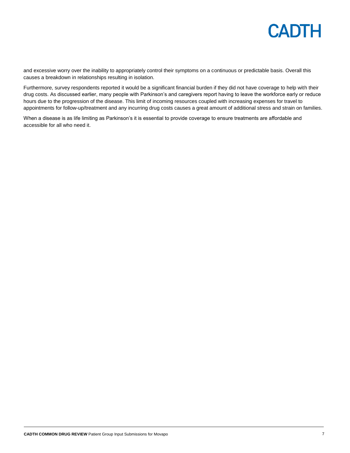

and excessive worry over the inability to appropriately control their symptoms on a continuous or predictable basis. Overall this causes a breakdown in relationships resulting in isolation.

Furthermore, survey respondents reported it would be a significant financial burden if they did not have coverage to help with their drug costs. As discussed earlier, many people with Parkinson's and caregivers report having to leave the workforce early or reduce hours due to the progression of the disease. This limit of incoming resources coupled with increasing expenses for travel to appointments for follow-up/treatment and any incurring drug costs causes a great amount of additional stress and strain on families.

When a disease is as life limiting as Parkinson's it is essential to provide coverage to ensure treatments are affordable and accessible for all who need it.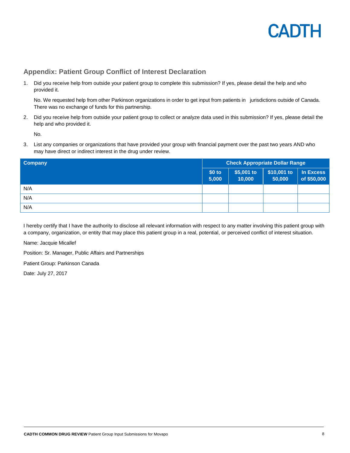

#### **Appendix: Patient Group Conflict of Interest Declaration**

1. Did you receive help from outside your patient group to complete this submission? If yes, please detail the help and who provided it.

No. We requested help from other Parkinson organizations in order to get input from patients in jurisdictions outside of Canada. There was no exchange of funds for this partnership.

2. Did you receive help from outside your patient group to collect or analyze data used in this submission? If yes, please detail the help and who provided it.

No.

3. List any companies or organizations that have provided your group with financial payment over the past two years AND who may have direct or indirect interest in the drug under review.

| <b>Company</b> | <b>Check Appropriate Dollar Range</b> |                       |                       |                          |
|----------------|---------------------------------------|-----------------------|-----------------------|--------------------------|
|                | $$0$ to<br> 5,000                     | $$5,001$ to<br>10,000 | \$10,001 to<br>50,000 | In Excess<br>of \$50,000 |
| N/A            |                                       |                       |                       |                          |
| N/A            |                                       |                       |                       |                          |
| N/A            |                                       |                       |                       |                          |

I hereby certify that I have the authority to disclose all relevant information with respect to any matter involving this patient group with a company, organization, or entity that may place this patient group in a real, potential, or perceived conflict of interest situation.

Name: Jacquie Micallef

Position: Sr. Manager, Public Affairs and Partnerships

Patient Group: Parkinson Canada

Date: July 27, 2017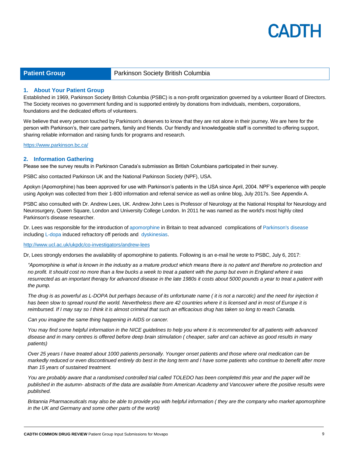

**Patient Group Parkinson Society British Columbia** 

#### **1. About Your Patient Group**

Established in 1969, Parkinson Society British Columbia (PSBC) is a non-profit organization governed by a volunteer Board of Directors. The Society receives no government funding and is supported entirely by donations from individuals, members, corporations, foundations and the dedicated efforts of volunteers.

We believe that every person touched by Parkinson's deserves to know that they are not alone in their journey. We are here for the person with Parkinson's, their care partners, family and friends. Our friendly and knowledgeable staff is committed to offering support, sharing reliable information and raising funds for programs and research.

<https://www.parkinson.bc.ca/>

#### **2. Information Gathering**

Please see the survey results in Parkinson Canada's submission as British Columbians participated in their survey.

PSBC also contacted Parkinson UK and the National Parkinson Society (NPF), USA.

Apokyn (Apomorphine) has been approved for use with Parkinson's patients in the USA since April, 2004. NPF's experience with people using Apokyn was collected from their 1-800 information and referral service as well as online blog, July 2017s. See Appendix A.

PSBC also consulted with Dr. Andrew Lees, UK. Andrew John Lees is Professor of Neurology at the National Hospital for Neurology and Neurosurgery, Queen Square, London and University College London. In 2011 he was named as the world's most highly cited Parkinson's disease researcher.

Dr. Lees was responsible for the introduction of [apomorphine](https://en.wikipedia.org/wiki/Apomorphine) in Britain to treat advanced complications of [Parkinson's](https://en.wikipedia.org/wiki/Parkinson%27s_disease) disease including [L-dopa](https://en.wikipedia.org/wiki/L-dopa) induced refractory off periods and [dyskinesias.](https://en.wikipedia.org/wiki/Dyskinesias)

<http://www.ucl.ac.uk/ukpdc/co-investigators/andrew-lees>

Dr, Lees strongly endorses the availability of apomorphine to patients. Following is an e-mail he wrote to PSBC, July 6, 2017:

*"Apomorphine is what is known in the industry as a mature product which means there is no patent and therefore no protection and no profit. It should cost no more than a few bucks a week to treat a patient with the pump but even in England where it was resurrected as an important therapy for advanced disease in the late 1980s it costs about 5000 pounds a year to treat a patient with the pump.*

*The drug is as powerful as L-DOPA but perhaps because of its unfortunate name ( it is not a narcotic) and the need for injection it has been slow to spread round the world. Nevertheless there are 42 countries where it is licensed and in most of Europe it is reimbursed. If I may say so I think it is almost criminal that such an efficacious drug has taken so long to reach Canada.*

*Can you imagine the same thing happening in AIDS or cancer.*

*You may find some helpful information in the NICE guidelines to help you where it is recommended for all patients with advanced disease and in many centres is offered before deep brain stimulation ( cheaper, safer and can achieve as good results in many patients)*

*Over 25 years I have treated about 1000 patients personally. Younger onset patients and those where oral medication can be markedly reduced or even discontinued entirely do best in the long term and I have some patients who continue to benefit after more than 15 years of sustained treatment.*

*You are probably aware that a randomised controlled trial called TOLEDO has been completed this year and the paper will be published in the autumn- abstracts of the data are available from American Academy and Vancouver where the positive results were published.*

*Britannia Pharmaceuticals may also be able to provide you with helpful information ( they are the company who market apomorphine in the UK and Germany and some other parts of the world)*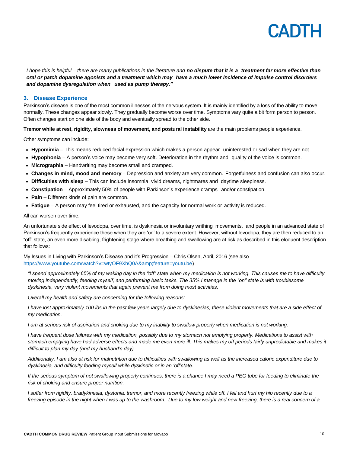# $\Delta$

*I hope this is helpful – there are many publications in the literature and no dispute that it is a treatment far more effective than oral or patch dopamine agonists and a treatment which may have a much lower incidence of impulse control disorders and dopamine dysregulation when used as pump therapy."*

#### **3. Disease Experience**

Parkinson's disease is one of the most common illnesses of the nervous system. It is mainly identified by a loss of the ability to move normally. These changes appear slowly. They gradually become worse over time. Symptoms vary quite a bit form person to person. Often changes start on one side of the body and eventually spread to the other side.

**Tremor while at rest, rigidity, slowness of movement, and postural instability** are the main problems people experience.

Other symptoms can include:

- **Hypomimia** This means reduced facial expression which makes a person appear uninterested or sad when they are not.
- **Hypophonia** A person's voice may become very soft. Deterioration in the rhythm and quality of the voice is common.
- **Micrographia** Handwriting may become small and cramped.
- **Changes in mind, mood and memory** Depression and anxiety are very common. Forgetfulness and confusion can also occur.
- **Difficulties with sleep** This can include insomnia, vivid dreams, nightmares and daytime sleepiness.
- **Constipation** Approximately 50% of people with Parkinson's experience cramps and/or constipation.
- **Pain** Different kinds of pain are common.
- **Fatigue**  A person may feel tired or exhausted, and the capacity for normal work or activity is reduced.

All can worsen over time.

An unfortunate side effect of levodopa, over time, is dyskinesia or involuntary writhing movements, and people in an advanced state of Parkinson's frequently experience these when they are 'on' to a severe extent. However, without levodopa, they are then reduced to an "off" state, an even more disabling, frightening stage where breathing and swallowing are at risk as described in this eloquent description that follows:

My Issues in Living with Parkinson's Disease and it's Progression – Chris Olsen, April, 2016 (see also [https://www.youtube.com/watch?v=wtyOF9XhQ0A&feature=youtu.be\)](https://www.youtube.com/watch?v=wtyOF9XhQ0A&feature=youtu.be)

*"I spend approximately 65% of my waking day in the "off" state when my medication is not working. This causes me to have difficulty moving independently, feeding myself, and performing basic tasks. The 35% I manage in the "on" state is with troublesome dyskinesia, very violent movements that again prevent me from doing most activities.*

*Overall my health and safety are concerning for the following reasons:*

*I have lost approximately 100 lbs in the past few years largely due to dyskinesias, these violent movements that are a side effect of my medication.*

*I am at serious risk of aspiration and choking due to my inability to swallow properly when medication is not working.*

*I have frequent dose failures with my medication, possibly due to my stomach not emptying properly. Medications to assist with stomach emptying have had adverse effects and made me even more ill. This makes my off periods fairly unpredictable and makes it difficult to plan my day (and my husband's day).*

*Additionally, I am also at risk for malnutrition due to difficulties with swallowing as well as the increased caloric expenditure due to dyskinesia, and difficulty feeding myself while dyskinetic or in an 'off'state.*

*If the serious symptom of not swallowing properly continues, there is a chance I may need a PEG tube for feeding to eliminate the risk of choking and ensure proper nutrition.*

*I suffer from rigidity, bradykinesia, dystonia, tremor, and more recently freezing while off. I fell and hurt my hip recently due to a freezing episode in the night when I was up to the washroom. Due to my low weight and new freezing, there is a real concern of a*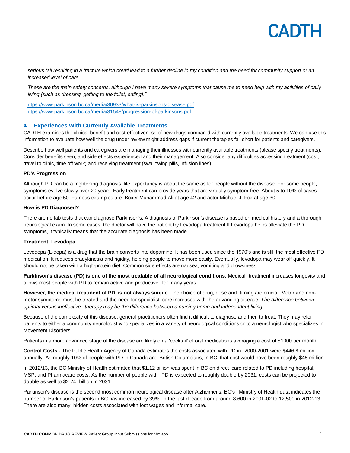

*serious fall resulting in a fracture which could lead to a further decline in my condition and the need for community support or an increased level of care*

*These are the main safety concerns, although I have many severe symptoms that cause me to need help with my activities of daily living (such as dressing, getting to the toilet, eating)."*

<https://www.parkinson.bc.ca/media/30933/what-is-parkinsons-disease.pdf> <https://www.parkinson.bc.ca/media/31548/progression-of-parkinsons.pdf>

#### **4. Experiences With Currently Available Treatments**

CADTH examines the clinical benefit and cost-effectiveness of new drugs compared with currently available treatments. We can use this information to evaluate how well the drug under review might address gaps if current therapies fall short for patients and caregivers.

Describe how well patients and caregivers are managing their illnesses with currently available treatments (please specify treatments). Consider benefits seen, and side effects experienced and their management. Also consider any difficulties accessing treatment (cost, travel to clinic, time off work) and receiving treatment (swallowing pills, infusion lines).

#### **PD's Progression**

Although PD can be a frightening diagnosis, life expectancy is about the same as for people without the disease. For some people, symptoms evolve slowly over 20 years. Early treatment can provide years that are virtually symptom-free. About 5 to 10% of cases occur before age 50. Famous examples are: Boxer Muhammad Ali at age 42 and actor Michael J. Fox at age 30.

#### **How is PD Diagnosed?**

There are no lab tests that can diagnose Parkinson's. A diagnosis of Parkinson's disease is based on medical history and a thorough neurological exam. In some cases, the doctor will have the patient try Levodopa treatment If Levodopa helps alleviate the PD symptoms, it typically means that the accurate diagnosis has been made.

#### **Treatment: Levodopa**

Levodopa (L-dopa) is a drug that the brain converts into dopamine. It has been used since the 1970's and is still the most effective PD medication. It reduces bradykinesia and rigidity, helping people to move more easily. Eventually, levodopa may wear off quickly. It should not be taken with a high-protein diet. Common side effects are nausea, vomiting and drowsiness.

**Parkinson's disease (PD) is one of the most treatable of all neurological conditions.** Medical treatment increases longevity and allows most people with PD to remain active and productive for many years.

**However, the medical treatment of PD, is not always simple.** The choice of drug, dose and timing are crucial. Motor and nonmotor symptoms must be treated and the need for specialist care increases with the advancing disease. *The difference between optimal versus ineffective therapy may be the difference between a nursing home and independent living*.

Because of the complexity of this disease, general practitioners often find it difficult to diagnose and then to treat. They may refer patients to either a community neurologist who specializes in a variety of neurological conditions or to a neurologist who specializes in Movement Disorders.

Patients in a more advanced stage of the disease are likely on a 'cocktail' of oral medications averaging a cost of \$1000 per month.

**Control Costs** - The Public Health Agency of Canada estimates the costs associated with PD in 2000-2001 were \$446.8 million annually. As roughly 10% of people with PD in Canada are British Columbians, in BC, that cost would have been roughly \$45 million.

In 2012/13, the BC Ministry of Health estimated that \$1.12 billion was spent in BC on direct care related to PD including hospital, MSP, and Pharmacare costs. As the number of people with PD is expected to roughly double by 2031, costs can be projected to double as well to \$2.24 billion in 2031.

Parkinson's disease is the second most common neurological disease after Alzheimer's. BC's Ministry of Health data indicates the number of Parkinson's patients in BC has increased by 39% in the last decade from around 8,600 in 2001-02 to 12,500 in 2012-13. There are also many hidden costs associated with lost wages and informal care.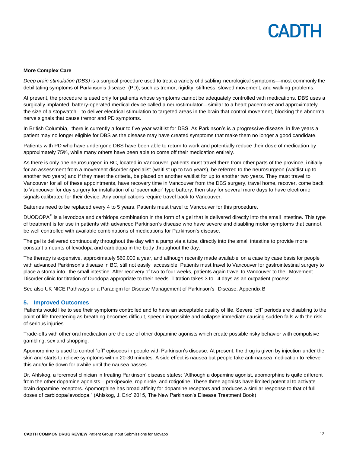#### **More Complex Care**

*Deep brain stimulation (DBS)* is a surgical procedure used to treat a variety of disabling neurological symptoms—most commonly the debilitating symptoms of Parkinson's disease (PD), such as tremor, rigidity, stiffness, slowed movement, and walking problems.

At present, the procedure is used only for patients whose symptoms cannot be adequately controlled with medications. DBS uses a surgically implanted, battery-operated medical device called a neurostimulator—similar to a heart pacemaker and approximately the size of a stopwatch—to deliver electrical stimulation to targeted areas in the brain that control movement, blocking the abnormal nerve signals that cause tremor and PD symptoms.

In British Columbia, there is currently a four to five year waitlist for DBS. As Parkinson's is a progressive disease, in five years a patient may no longer eligible for DBS as the disease may have created symptoms that make them no longer a good candidate.

Patients with PD who have undergone DBS have been able to return to work and potentially reduce their dose of medication by approximately 75%, while many others have been able to come off their medication entirely.

As there is only one neurosurgeon in BC, located in Vancouver, patients must travel there from other parts of the province, initially for an assessment from a movement disorder specialist (waitlist up to two years), be referred to the neurosurgeon (waitlist up to another two years) and if they meet the criteria, be placed on another waitlist for up to another two years. They must travel to Vancouver for all of these appointments, have recovery time in Vancouver from the DBS surgery, travel home, recover, come back to Vancouver for day surgery for installation of a 'pacemaker' type battery, then stay for several more days to have electronic signals calibrated for their device. Any complications require travel back to Vancouver.

Batteries need to be replaced every 4 to 5 years. Patients must travel to Vancouver for this procedure.

DUODOPA<sup>®</sup> is a levodopa and carbidopa combination in the form of a gel that is delivered directly into the small intestine. This type of treatment is for use in patients with advanced Parkinson's disease who have severe and disabling motor symptoms that cannot be well controlled with available combinations of medications for Parkinson's disease.

The gel is delivered continuously throughout the day with a pump via a tube, directly into the small intestine to provide more constant amounts of levodopa and carbidopa in the body throughout the day.

The therapy is expensive, approximately \$60,000 a year, and although recently made available on a case by case basis for people with advanced Parkinson's disease in BC, still not easily accessible. Patients must travel to Vancouver for gastrointestinal surgery to place a stoma into the small intestine. After recovery of two to four weeks, patients again travel to Vancouver to the Movement Disorder clinic for titration of Duodopa appropriate to their needs. Titration takes 3 to 4 days as an outpatient process.

See also UK NICE Pathways or a Paradigm for Disease Management of Parkinson's Disease, Appendix B

#### **5. Improved Outcomes**

Patients would like to see their symptoms controlled and to have an acceptable quality of life. Severe "off" periods are disabling to the point of life threatening as breathing becomes difficult, speech impossible and collapse immediate causing sudden falls with the risk of serious injuries.

Trade-offs with other oral medication are the use of other dopamine agonists which create possible risky behavior with compulsive gambling, sex and shopping.

Apomorphine is used to control "off" episodes in people with Parkinson's disease. At present, the drug is given by injection under the skin and starts to relieve symptoms within 20-30 minutes. A side effect is nausea but people take anti-nausea medication to relieve this and/or lie down for awhile until the nausea passes.

Dr. Ahlskog, a foremost clinician in treating Parkinson' disease states: "Although a dopamine agonist, apomorphine is quite different from the other dopamine agonists – praxipexole, ropinirole, and rotigotine. These three agonists have limited potential to activate brain dopamine receptors. Apomorphine has broad affinity for dopamine receptors and produces a similar response to that of full doses of carbidopa/levodopa." (Ahlskog, J. Eric' 2015, The New Parkinson's Disease Treatment Book)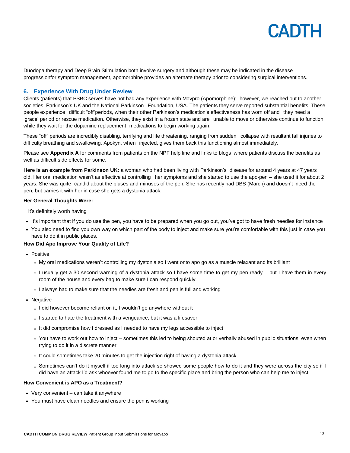

Duodopa therapy and Deep Brain Stimulation both involve surgery and although these may be indicated in the disease progressionfor symptom management, apomorphine provides an alternate therapy prior to considering surgical interventions.

#### **6. Experience With Drug Under Review**

Clients (patients) that PSBC serves have not had any experience with Movpro (Apomorphine); however, we reached out to another societies, Parkinson's UK and the National Parkinson Foundation, USA. The patients they serve reported substantial benefits. These people experience difficult "off"periods, when their other Parkinson's medication's effectiveness has worn off and they need a 'grace' period or rescue medication. Otherwise, they exist in a frozen state and are unable to move or otherwise continue to function while they wait for the dopamine replacement medications to begin working again.

These "off" periods are incredibly disabling, terrifying and life threatening, ranging from sudden collapse with resultant fall injuries to difficulty breathing and swallowing. Apokyn, when injected, gives them back this functioning almost immediately.

Please see **Appendix A** for comments from patients on the NPF help line and links to blogs where patients discuss the benefits as well as difficult side effects for some.

**Here is an example from Parkinson UK:** a woman who had been living with Parkinson's disease for around 4 years at 47 years old. Her oral medication wasn't as effective at controlling her symptoms and she started to use the apo-pen – she used it for about 2 years. She was quite candid about the pluses and minuses of the pen. She has recently had DBS (March) and doesn't need the pen, but carries it with her in case she gets a dystonia attack.

#### **Her General Thoughts Were:**

It's definitely worth having

- It's important that if you do use the pen, you have to be prepared when you go out, you've got to have fresh needles for instance
- You also need to find you own way on which part of the body to inject and make sure you're comfortable with this just in case you have to do it in public places.

#### **How Did Apo Improve Your Quality of Life?**

- **Positive** 
	- o My oral medications weren't controlling my dystonia so I went onto apo go as a muscle relaxant and its brilliant
	- o I usually get a 30 second warning of a dystonia attack so I have some time to get my pen ready but I have them in every room of the house and every bag to make sure I can respond quickly
	- $\circ$  I always had to make sure that the needles are fresh and pen is full and working
- Negative
	- o I did however become reliant on it, I wouldn't go anywhere without it
	- $\circ$  I started to hate the treatment with a vengeance, but it was a lifesaver
	- $\circ$  It did compromise how I dressed as I needed to have my legs accessible to inject
	- $\circ$  You have to work out how to inject sometimes this led to being shouted at or verbally abused in public situations, even when trying to do it in a discrete manner
	- $\circ$  It could sometimes take 20 minutes to get the injection right of having a dystonia attack
	- o Sometimes can't do it myself if too long into attack so showed some people how to do it and they were across the city so if I did have an attack I'd ask whoever found me to go to the specific place and bring the person who can help me to inject

#### **How Convenient is APO as a Treatment?**

- Very convenient can take it anywhere
- You must have clean needles and ensure the pen is working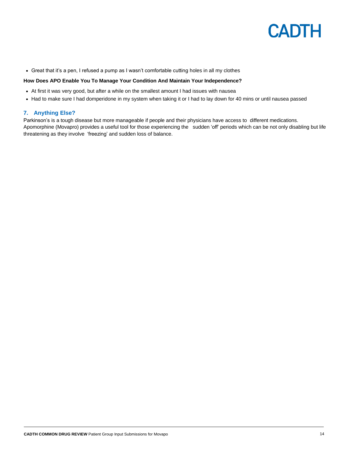

Great that it's a pen, I refused a pump as I wasn't comfortable cutting holes in all my clothes

#### **How Does APO Enable You To Manage Your Condition And Maintain Your Independence?**

- At first it was very good, but after a while on the smallest amount I had issues with nausea
- Had to make sure I had domperidone in my system when taking it or I had to lay down for 40 mins or until nausea passed

#### **7. Anything Else?**

Parkinson's is a tough disease but more manageable if people and their physicians have access to different medications. Apomorphine (Movapro) provides a useful tool for those experiencing the sudden 'off' periods which can be not only disabling but life threatening as they involve 'freezing' and sudden loss of balance.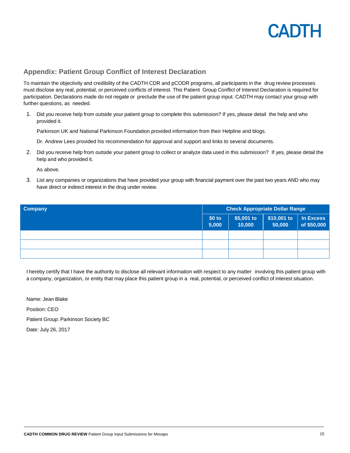#### **Appendix: Patient Group Conflict of Interest Declaration**

To maintain the objectivity and credibility of the CADTH CDR and pCODR programs, all participants in the drug review processes must disclose any real, potential, or perceived conflicts of interest. This Patient Group Conflict of Interest Declaration is required for participation. Declarations made do not negate or preclude the use of the patient group input. CADTH may contact your group with further questions, as needed.

1. Did you receive help from outside your patient group to complete this submission? If yes, please detail the help and who provided it.

Parkinson UK and National Parkinson Foundation provided information from their Helpline and blogs.

Dr. Andrew Lees provided his recommendation for approval and support and links to several documents.

2. Did you receive help from outside your patient group to collect or analyze data used in this submission? If yes, please detail the help and who provided it.

As above.

3. List any companies or organizations that have provided your group with financial payment over the past two years AND who may have direct or indirect interest in the drug under review.

| <b>Company</b> | <b>Check Appropriate Dollar Range</b> |                      |                       |                          |
|----------------|---------------------------------------|----------------------|-----------------------|--------------------------|
|                | $$0$ to<br>5,000                      | \$5,001 to<br>10,000 | \$10,001 to<br>50,000 | In Excess<br>of \$50,000 |
|                |                                       |                      |                       |                          |
|                |                                       |                      |                       |                          |
|                |                                       |                      |                       |                          |

I hereby certify that I have the authority to disclose all relevant information with respect to any matter involving this patient group with a company, organization, or entity that may place this patient group in a real, potential, or perceived conflict of interest situation.

Name: Jean Blake Position: CEO Patient Group: Parkinson Society BC Date: July 26, 2017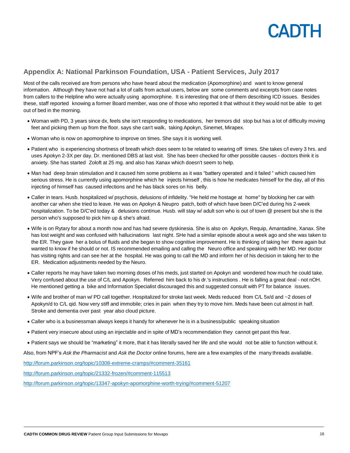

#### **Appendix A: National Parkinson Foundation, USA - Patient Services, July 2017**

Most of the calls received are from persons who have heard about the medication (Apomorphine) and want to know general information. Although they have not had a lot of calls from actual users, below are some comments and excerpts from case notes from callers to the Helpline who were actually using apomorphine. It is interesting that one of them describing ICD issues. Besides these, staff reported knowing a former Board member, was one of those who reported it that without it they would not be able to get out of bed in the morning.

- Woman with PD, 3 years since dx, feels she isn't responding to medications, her tremors did stop but has a lot of difficulty moving feet and picking them up from the floor. says she can't walk, taking Apokyn, Sinemet, Mirapex.
- Woman who is now on apomorphine to improve on times. She says it is working well.
- Patient who is experiencing shortness of breath which does seem to be related to wearing off times. She takes c/l every 3 hrs. and uses Apokyn 2-3X per day. Dr. mentioned DBS at last visit. She has been checked for other possible causes - doctors think it is anxiety. She has started Zoloft at 25 mg. and also has Xanax which doesn't seem to help.
- Man had deep brain stimulation and it caused him some problems as it was "battery operated and it failed " which caused him serious stress. He is currently using apomorphine which he injects himself , this is how he medicates himself for the day, all of this injecting of himself has caused infections and he has black sores on his belly.
- Caller in tears. Husb. hospitalized w/ psychosis, delusions of infidelity. "He held me hostage at home" by blocking her car with another car when she tried to leave. He was on Apokyn & Neupro patch, both of which have been D/C'ed during his 2-week hospitalization. To be D/C'ed today & delusions continue. Husb. will stay w/ adult son who is out of town @ present but she is the person who's supposed to pick him up & she's afraid.
- Wife is on Rytary for about a month now and has had severe dyskinesia. She is also on Apokyn, Requip, Amantadine, Xanax. She has lost weight and was confused with hallucinations last night. SHe had a similar episode about a week ago and she was taken to the ER. They gave her a bolus of fluids and she began to show cognitive improvement. He is thinking of taking her there again but wanted to know if he should or not. IS recommended emailing and calling the Neuro office and speaking with her MD. Her doctor has visiting rights and can see her at the hospital. He was going to call the MD and inform her of his decision in taking her to the ER. Medication adjustments needed by the Neuro.
- Caller reports he may have taken two morning doses of his meds, just started on Apokyn and wondered how much he could take. Very confused about the use of C/L and Apokyn. Referred him back to his dr.'s instructions . He is falling a great deal - not nOH. He mentioned getting a bike and Information Specialist discouraged this and suggested consult with PT for balance issues.
- Wife and brother of man w/ PD call together. Hospitalized for stroke last week. Meds reduced from C/L 5x/d and ~2 doses of Apokyn/d to C/L qid. Now very stiff and immobile; cries in pain when they try to move him. Meds have been cut almost in half. Stroke and dementia over past year also cloud picture.
- Caller who is a businessman always keeps it handy for whenever he is in a business/public speaking situation
- Patient very insecure about using an injectable and in spite of MD's recommendation they cannot get past this fear.
- Patient says we should be "marketing" it more, that it has literally saved her life and she would not be able to function without it.

Also, from NPF's *Ask the Pharmacist* and *Ask the Doctor* online forums, here are a few examples of the many threads available.

<http://forum.parkinson.org/topic/10308-extreme-cramps/#comment-35161>

<http://forum.parkinson.org/topic/21332-frozen/#comment-115513>

<http://forum.parkinson.org/topic/13347-apokyn-apomorphine-worth-trying/#comment-51207>